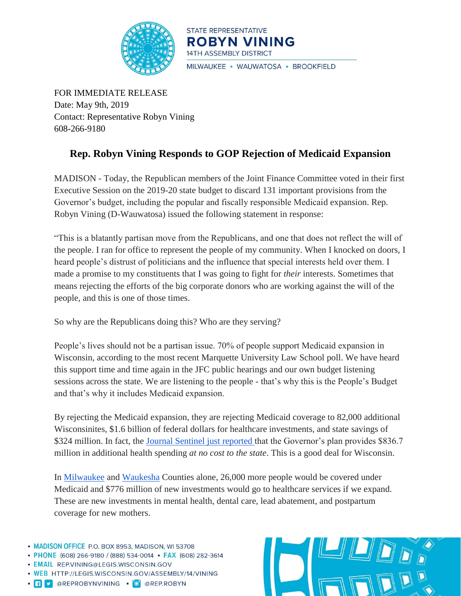

STATE REPRESENTATIVE **ROBYN VINING 14TH ASSEMBLY DISTRICT** MILWAUKEE · WAUWATOSA · BROOKFIELD

FOR IMMEDIATE RELEASE Date: May 9th, 2019 Contact: Representative Robyn Vining 608-266-9180

## **Rep. Robyn Vining Responds to GOP Rejection of Medicaid Expansion**

MADISON - Today, the Republican members of the Joint Finance Committee voted in their first Executive Session on the 2019-20 state budget to discard 131 important provisions from the Governor's budget, including the popular and fiscally responsible Medicaid expansion. Rep. Robyn Vining (D-Wauwatosa) issued the following statement in response:

"This is a blatantly partisan move from the Republicans, and one that does not reflect the will of the people. I ran for office to represent the people of my community. When I knocked on doors, I heard people's distrust of politicians and the influence that special interests held over them. I made a promise to my constituents that I was going to fight for *their* interests. Sometimes that means rejecting the efforts of the big corporate donors who are working against the will of the people, and this is one of those times.

So why are the Republicans doing this? Who are they serving?

People's lives should not be a partisan issue. 70% of people support Medicaid expansion in Wisconsin, according to the most recent Marquette University Law School poll. We have heard this support time and time again in the JFC public hearings and our own budget listening sessions across the state. We are listening to the people - that's why this is the People's Budget and that's why it includes Medicaid expansion.

By rejecting the Medicaid expansion, they are rejecting Medicaid coverage to 82,000 additional Wisconsinites, \$1.6 billion of federal dollars for healthcare investments, and state savings of \$324 million. In fact, the [Journal Sentinel just reported t](https://www.jsonline.com/story/money/business/health-care/2019/05/08/gov-tony-evers-proposed-budget-would-increase-spending-health-programs-estimated-836-7-million-over/3656805002/)hat the Governor's plan provides \$836.7 million in additional health spending *at no cost to the state*. This is a good deal for Wisconsin.

In [Milwaukee](https://www.dhs.wisconsin.gov/publications/p02410-milwaukee.pdf) and [Waukesha](https://www.dhs.wisconsin.gov/publications/p02410-waukesha.pdf) Counties alone, 26,000 more people would be covered under Medicaid and \$776 million of new investments would go to healthcare services if we expand. These are new investments in mental health, dental care, lead abatement, and postpartum coverage for new mothers.

- MADISON OFFICE P.O. BOX 8953, MADISON, WI 53708
- PHONE (608) 266-9180 / (888) 534-0014 FAX (608) 282-3614
- · EMAIL REP.VINING@LEGIS.WISCONSIN.GOV
- . WEB HTTP://LEGIS.WISCONSIN.GOV/ASSEMBLY/14/VINING
- · F C @REPROBYNVINING · O @REP.ROBYN